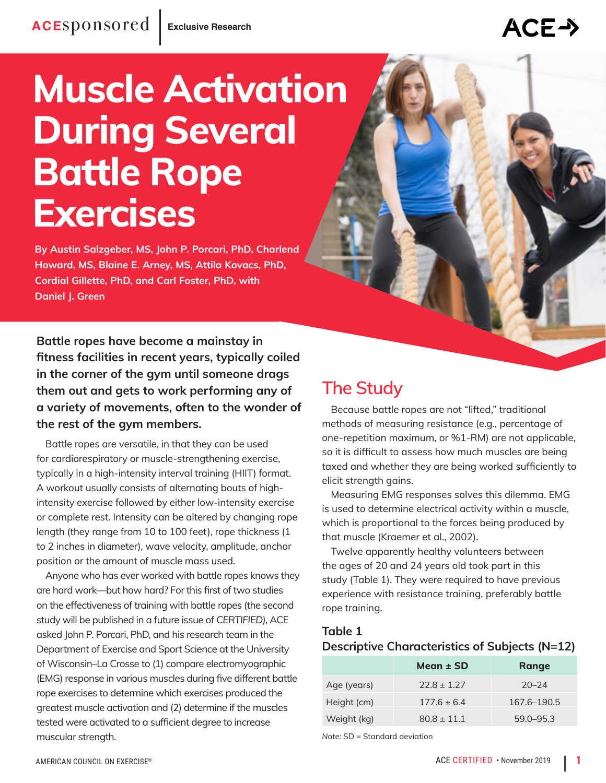# **Muscle Activation During Several Battle Rope Exercises**

**By Austin Salzgeber, MS, John P. Porcari, PhD, Charlend Howard, MS, Blaine E. Arney, MS, Attila Kovacs, PhD, Cordial Gillette, PhD, and Carl Foster, PhD, with Daniel J. Green**

**Battle ropes have become a mainstay in fitness facilities in recent years, typically coiled in the corner of the gym until someone drags them out and gets to work performing any of a variety of movements, often to the wonder of the rest of the gym members.** 

Battle ropes are versatile, in that they can be used for cardiorespiratory or muscle-strengthening exercise, typically in a high-intensity interval training (HIIT) format. A workout usually consists of alternating bouts of highintensity exercise followed by either low-intensity exercise or complete rest. Intensity can be altered by changing rope length (they range from 10 to 100 feet), rope thickness (1 to 2 inches in diameter), wave velocity, amplitude, anchor position or the amount of muscle mass used.

Anyone who has ever worked with battle ropes knows they are hard work—but how hard? For this first of two studies on the effectiveness of training with battle ropes (the second study will be published in a future issue of *CERTIFIED),* ACE asked John P. Porcari, PhD, and his research team in the Department of Exercise and Sport Science at the University of Wisconsin–La Crosse to (1) compare electromyographic (EMG) response in various muscles during five different battle rope exercises to determine which exercises produced the greatest muscle activation and (2) determine if the muscles tested were activated to a sufficient degree to increase muscular strength.

## **The Study**

Because battle ropes are not "lifted," traditional methods of measuring resistance (e.g., percentage of one-repetition maximum, or %1-RM) are not applicable, so it is difficult to assess how much muscles are being taxed and whether they are being worked sufficiently to elicit strength gains.

Measuring EMG responses solves this dilemma. EMG is used to determine electrical activity within a muscle, which is proportional to the forces being produced by that muscle (Kraemer et al., 2002).

Twelve apparently healthy volunteers between the ages of 20 and 24 years old took part in this study (Table 1). They were required to have previous experience with resistance training, preferably battle rope training.

#### **Table 1**

#### **Descriptive Characteristics of Subjects (N=12)**

|             | Mean $\pm$ SD   | Range         |
|-------------|-----------------|---------------|
| Age (years) | $72.8 + 1.27$   | $20 - 24$     |
| Height (cm) | $177.6 \pm 6.4$ | 167.6-190.5   |
| Weight (kg) | $80.8 + 11.1$   | $59.0 - 95.3$ |

*Note:* SD = Standard deviation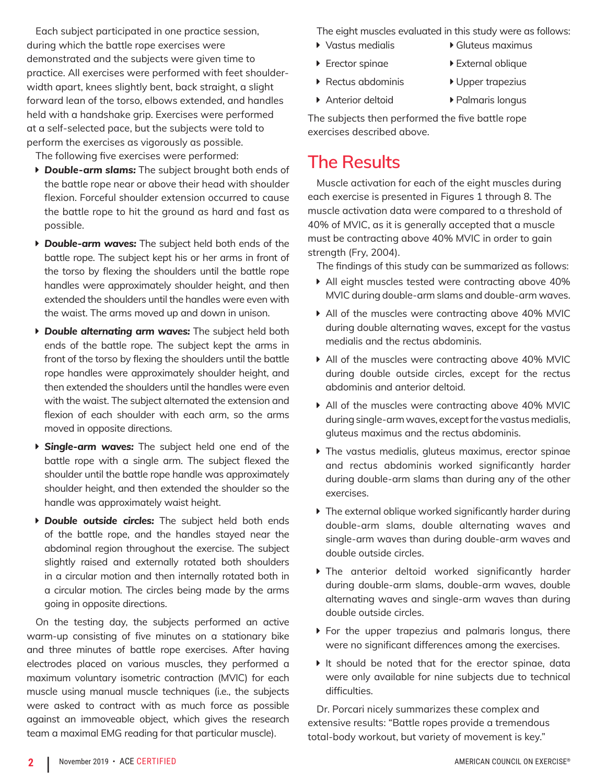Each subject participated in one practice session, during which the battle rope exercises were demonstrated and the subjects were given time to practice. All exercises were performed with feet shoulderwidth apart, knees slightly bent, back straight, a slight forward lean of the torso, elbows extended, and handles held with a handshake grip. Exercises were performed at a self-selected pace, but the subjects were told to perform the exercises as vigorously as possible.

The following five exercises were performed:

- **P** Double-arm slams: The subject brought both ends of the battle rope near or above their head with shoulder flexion. Forceful shoulder extension occurred to cause the battle rope to hit the ground as hard and fast as possible.
- **P** Double-arm waves: The subject held both ends of the battle rope. The subject kept his or her arms in front of the torso by flexing the shoulders until the battle rope handles were approximately shoulder height, and then extended the shoulders until the handles were even with the waist. The arms moved up and down in unison.
- **Double alternating arm waves:** The subject held both ends of the battle rope. The subject kept the arms in front of the torso by flexing the shoulders until the battle rope handles were approximately shoulder height, and then extended the shoulders until the handles were even with the waist. The subject alternated the extension and flexion of each shoulder with each arm, so the arms moved in opposite directions.
- **Single-arm waves:** The subject held one end of the battle rope with a single arm. The subject flexed the shoulder until the battle rope handle was approximately shoulder height, and then extended the shoulder so the handle was approximately waist height.
- **Double outside circles:** The subject held both ends of the battle rope, and the handles stayed near the abdominal region throughout the exercise. The subject slightly raised and externally rotated both shoulders in a circular motion and then internally rotated both in a circular motion. The circles being made by the arms going in opposite directions.

On the testing day, the subjects performed an active warm-up consisting of five minutes on a stationary bike and three minutes of battle rope exercises. After having electrodes placed on various muscles, they performed a maximum voluntary isometric contraction (MVIC) for each muscle using manual muscle techniques (i.e., the subjects were asked to contract with as much force as possible against an immoveable object, which gives the research team a maximal EMG reading for that particular muscle).

The eight muscles evaluated in this study were as follows:

- ▶ Vastus medialis ▶ Gluteus maximus
- ▶ Erector spinae ▶ External oblique
- ▶ Rectus abdominis ▶ Upper trapezius
- ▶ Anterior deltoid ▶ Palmaris longus

The subjects then performed the five battle rope exercises described above.

### **The Results**

Muscle activation for each of the eight muscles during each exercise is presented in Figures 1 through 8. The muscle activation data were compared to a threshold of 40% of MVIC, as it is generally accepted that a muscle must be contracting above 40% MVIC in order to gain strength (Fry, 2004).

The findings of this study can be summarized as follows:

- All eight muscles tested were contracting above 40% MVIC during double-arm slams and double-arm waves.
- All of the muscles were contracting above 40% MVIC during double alternating waves, except for the vastus medialis and the rectus abdominis.
- All of the muscles were contracting above 40% MVIC during double outside circles, except for the rectus abdominis and anterior deltoid.
- All of the muscles were contracting above 40% MVIC during single-arm waves, except for the vastus medialis, gluteus maximus and the rectus abdominis.
- $\triangleright$  The vastus medialis, gluteus maximus, erector spinae and rectus abdominis worked significantly harder during double-arm slams than during any of the other exercises.
- $\blacktriangleright$  The external oblique worked significantly harder during double-arm slams, double alternating waves and single-arm waves than during double-arm waves and double outside circles.
- Ine anterior deltoid worked significantly harder during double-arm slams, double-arm waves, double alternating waves and single-arm waves than during double outside circles.
- $\triangleright$  For the upper trapezius and palmaris longus, there were no significant differences among the exercises.
- $\blacktriangleright$  It should be noted that for the erector spinae, data were only available for nine subjects due to technical difficulties.

Dr. Porcari nicely summarizes these complex and extensive results: "Battle ropes provide a tremendous total-body workout, but variety of movement is key."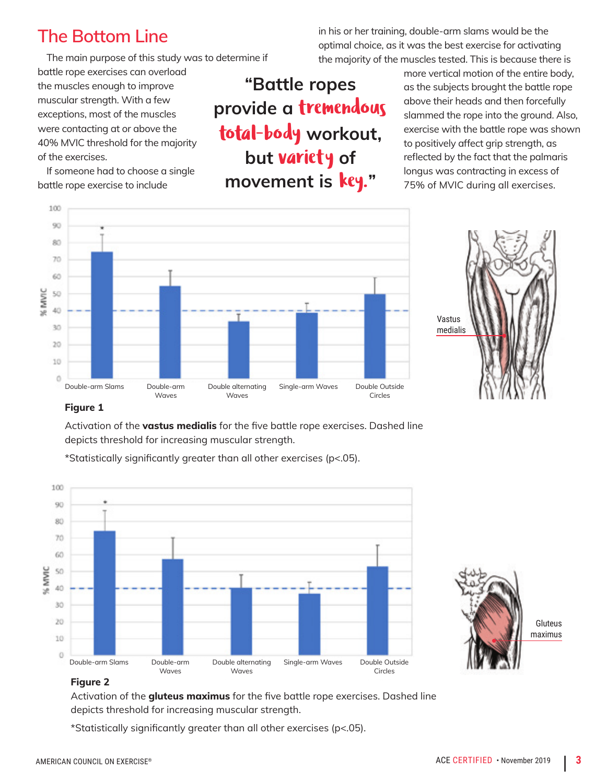## **The Bottom Line**

The main purpose of this study was to determine if

battle rope exercises can overload the muscles enough to improve muscular strength. With a few exceptions, most of the muscles were contacting at or above the 40% MVIC threshold for the majority of the exercises.

If someone had to choose a single battle rope exercise to include

**"Battle ropes provide a** tremendous total-body **workout, but** variety **of movement is** key.**"**

in his or her training, double-arm slams would be the optimal choice, as it was the best exercise for activating the majority of the muscles tested. This is because there is

> more vertical motion of the entire body, as the subjects brought the battle rope above their heads and then forcefully slammed the rope into the ground. Also, exercise with the battle rope was shown to positively affect grip strength, as reflected by the fact that the palmaris longus was contracting in excess of 75% of MVIC during all exercises.





#### **Figure 1**

Activation of the **vastus medialis** for the five battle rope exercises. Dashed line depicts threshold for increasing muscular strength.

100 90 80 70 60 % MVIC 50 40 30 20 10 0 Double-arm Slams Double-arm Double alternating Single-arm Waves Double Outside Waves Circles **Waves** 

\*Statistically significantly greater than all other exercises (p<.05).



#### **Figure 2**

Activation of the **gluteus maximus** for the five battle rope exercises. Dashed line depicts threshold for increasing muscular strength.

\*Statistically significantly greater than all other exercises (p<.05).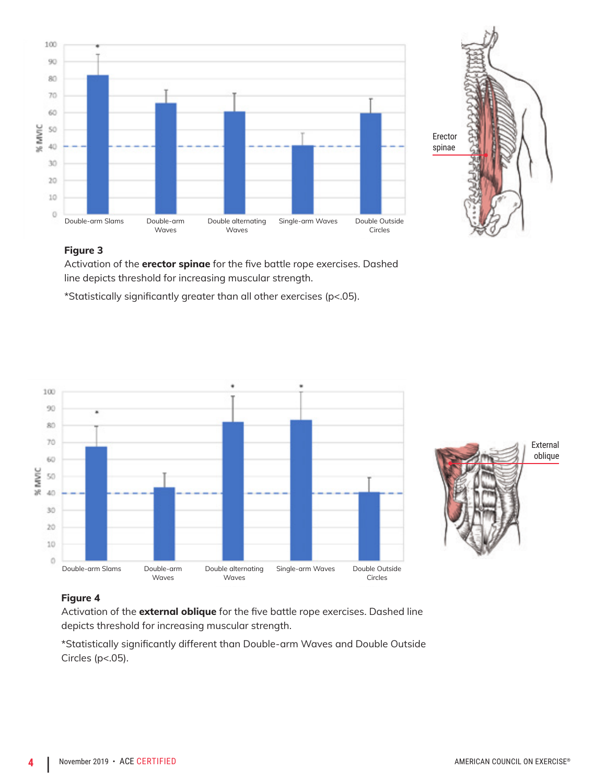



#### **Figure 3**

Activation of the **erector spinae** for the five battle rope exercises. Dashed line depicts threshold for increasing muscular strength.

\*Statistically significantly greater than all other exercises (p<.05).





#### **Figure 4**

Activation of the **external oblique** for the five battle rope exercises. Dashed line depicts threshold for increasing muscular strength.

\*Statistically significantly different than Double-arm Waves and Double Outside Circles (p<.05).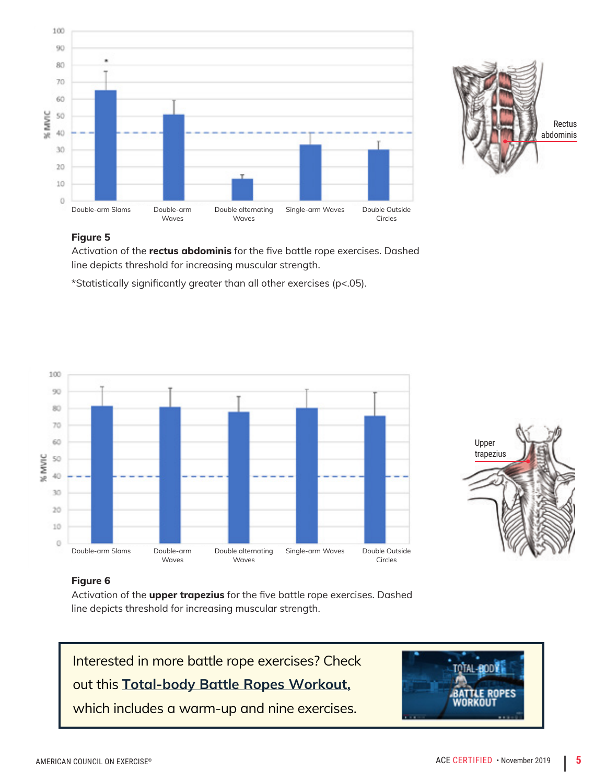



#### **Figure 5**

Activation of the **rectus abdominis** for the five battle rope exercises. Dashed line depicts threshold for increasing muscular strength.

\*Statistically significantly greater than all other exercises (p<.05).





#### **Figure 6**

Activation of the **upper trapezius** for the five battle rope exercises. Dashed line depicts threshold for increasing muscular strength.



which includes a warm-up and nine exercises.